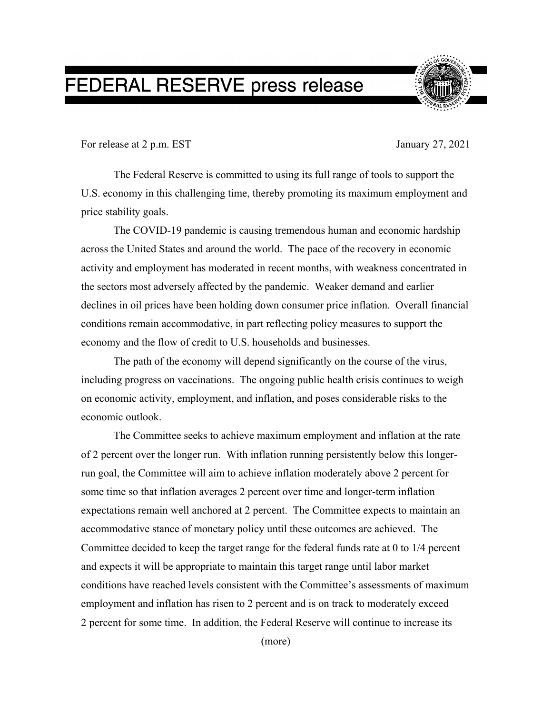## FEDERAL RESERVE press release



For release at 2 p.m. EST January 27, 2021

The Federal Reserve is committed to using its full range of tools to support the U.S. economy in this challenging time, thereby promoting its maximum employment and price stability goals.

The COVID-19 pandemic is causing tremendous human and economic hardship across the United States and around the world. The pace of the recovery in economic activity and employment has moderated in recent months, with weakness concentrated in the sectors most adversely affected by the pandemic. Weaker demand and earlier declines in oil prices have been holding down consumer price inflation. Overall financial conditions remain accommodative, in part reflecting policy measures to support the economy and the flow of credit to U.S. households and businesses.

The path of the economy will depend significantly on the course of the virus, including progress on vaccinations. The ongoing public health crisis continues to weigh on economic activity, employment, and inflation, and poses considerable risks to the economic outlook.

The Committee seeks to achieve maximum employment and inflation at the rate of 2 percent over the longer run. With inflation running persistently below this longerrun goal, the Committee will aim to achieve inflation moderately above 2 percent for some time so that inflation averages 2 percent over time and longer-term inflation expectations remain well anchored at 2 percent. The Committee expects to maintain an accommodative stance of monetary policy until these outcomes are achieved. The Committee decided to keep the target range for the federal funds rate at 0 to 1/4 percent and expects it will be appropriate to maintain this target range until labor market conditions have reached levels consistent with the Committee's assessments of maximum employment and inflation has risen to 2 percent and is on track to moderately exceed 2 percent for some time. In addition, the Federal Reserve will continue to increase its

(more)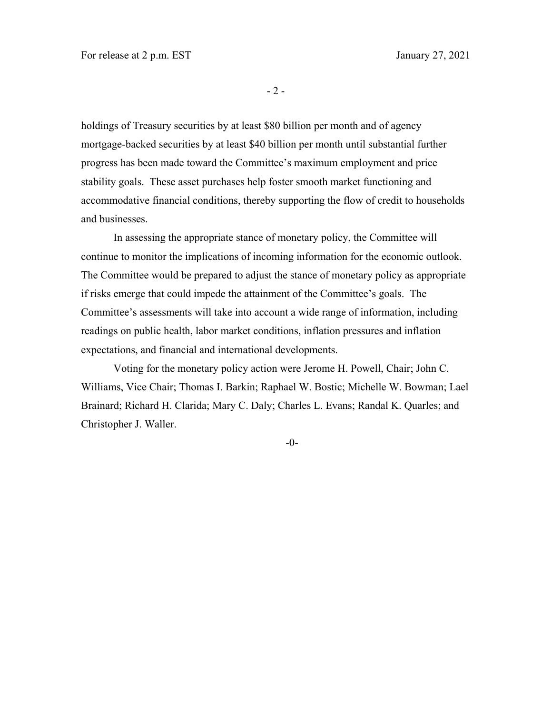- 2 -

holdings of Treasury securities by at least \$80 billion per month and of agency mortgage-backed securities by at least \$40 billion per month until substantial further progress has been made toward the Committee's maximum employment and price stability goals. These asset purchases help foster smooth market functioning and accommodative financial conditions, thereby supporting the flow of credit to households and businesses.

In assessing the appropriate stance of monetary policy, the Committee will continue to monitor the implications of incoming information for the economic outlook. The Committee would be prepared to adjust the stance of monetary policy as appropriate if risks emerge that could impede the attainment of the Committee's goals. The Committee's assessments will take into account a wide range of information, including readings on public health, labor market conditions, inflation pressures and inflation expectations, and financial and international developments.

Voting for the monetary policy action were Jerome H. Powell, Chair; John C. Williams, Vice Chair; Thomas I. Barkin; Raphael W. Bostic; Michelle W. Bowman; Lael Brainard; Richard H. Clarida; Mary C. Daly; Charles L. Evans; Randal K. Quarles; and Christopher J. Waller.

-0-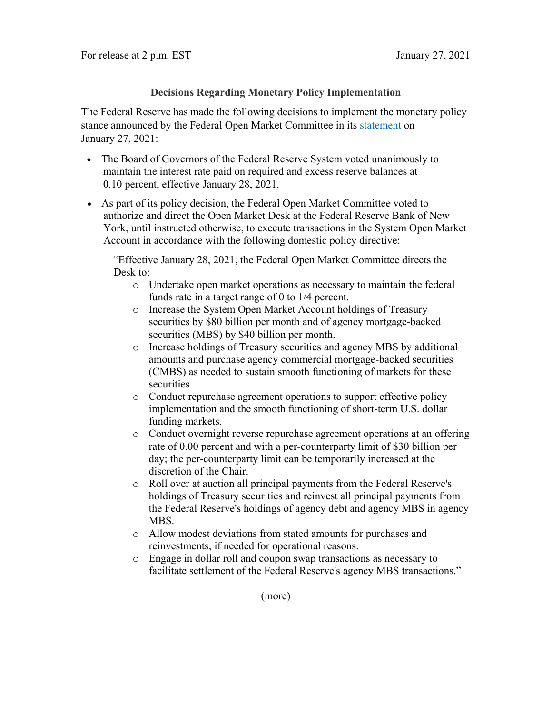## **Decisions Regarding Monetary Policy Implementation**

The Federal Reserve has made the following decisions to implement the monetary policy stance announced by the Federal Open Market Committee in its [statement](https://www.federalreserve.gov/newsevents/pressreleases/monetary20210127a.htm) on January 27, 2021:

- The Board of Governors of the Federal Reserve System voted unanimously to maintain the interest rate paid on required and excess reserve balances at 0.10 percent, effective January 28, 2021.
- As part of its policy decision, the Federal Open Market Committee voted to authorize and direct the Open Market Desk at the Federal Reserve Bank of New York, until instructed otherwise, to execute transactions in the System Open Market Account in accordance with the following domestic policy directive:

"Effective January 28, 2021, the Federal Open Market Committee directs the Desk to:

- o Undertake open market operations as necessary to maintain the federal funds rate in a target range of 0 to 1/4 percent.
- o Increase the System Open Market Account holdings of Treasury securities by \$80 billion per month and of agency mortgage-backed securities (MBS) by \$40 billion per month.
- o Increase holdings of Treasury securities and agency MBS by additional amounts and purchase agency commercial mortgage-backed securities (CMBS) as needed to sustain smooth functioning of markets for these securities.
- o Conduct repurchase agreement operations to support effective policy implementation and the smooth functioning of short-term U.S. dollar funding markets.
- o Conduct overnight reverse repurchase agreement operations at an offering rate of 0.00 percent and with a per-counterparty limit of \$30 billion per day; the per-counterparty limit can be temporarily increased at the discretion of the Chair.
- o Roll over at auction all principal payments from the Federal Reserve's holdings of Treasury securities and reinvest all principal payments from the Federal Reserve's holdings of agency debt and agency MBS in agency MBS.
- o Allow modest deviations from stated amounts for purchases and reinvestments, if needed for operational reasons.
- o Engage in dollar roll and coupon swap transactions as necessary to facilitate settlement of the Federal Reserve's agency MBS transactions."